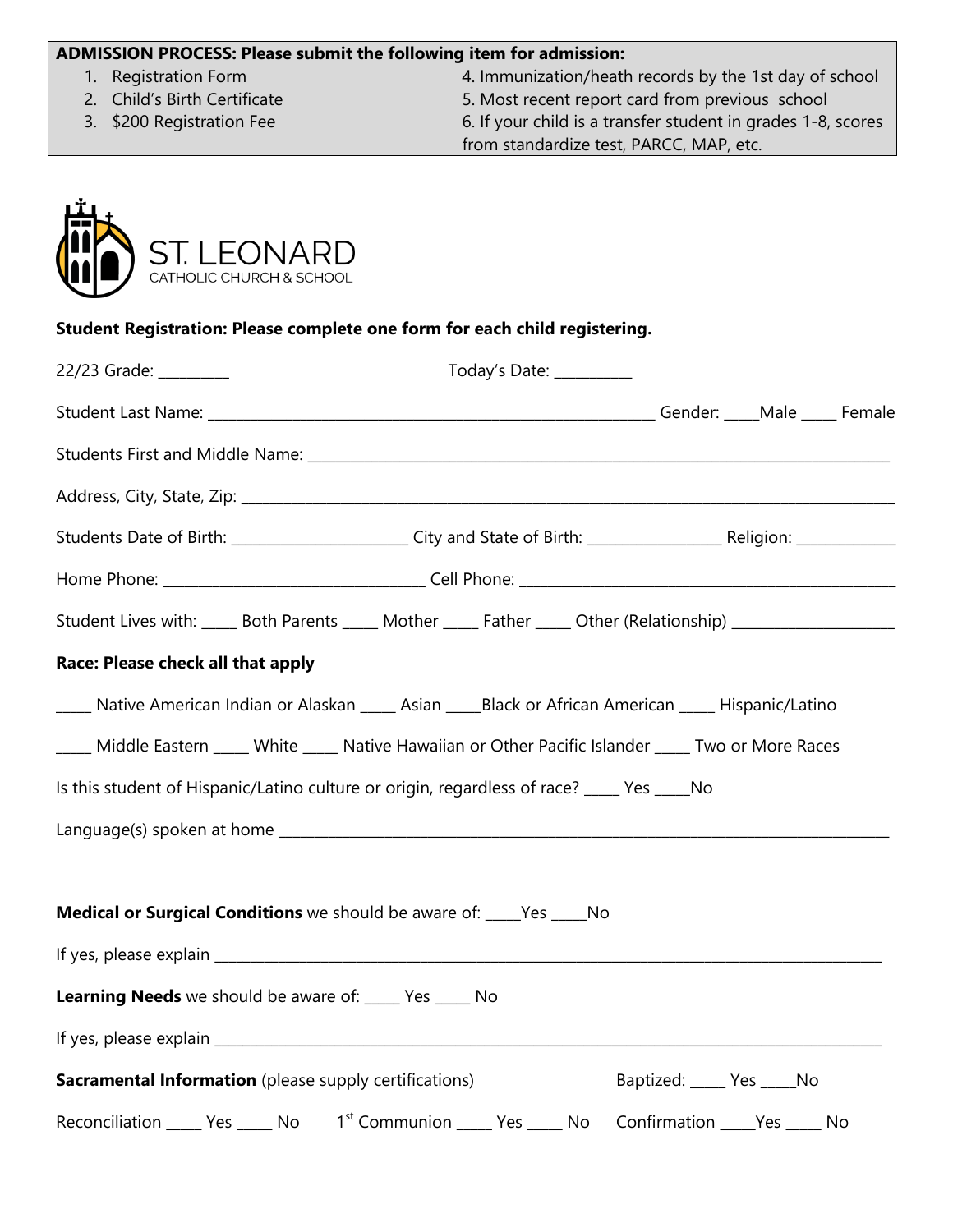## **ADMISSION PROCESS: Please submit the following item for admission:**

- 
- 
- 

1. Registration Form 4. Immunization/heath records by the 1st day of school 2. Child's Birth Certificate 5. Most recent report card from previous school

3. \$200 Registration Fee 6. If your child is a transfer student in grades 1-8, scores from standardize test, PARCC, MAP, etc.



## **Student Registration: Please complete one form for each child registering.**

| 22/23 Grade: _______                                                                                          | Today's Date: ________ |  |  |  |                              |  |  |  |  |
|---------------------------------------------------------------------------------------------------------------|------------------------|--|--|--|------------------------------|--|--|--|--|
|                                                                                                               |                        |  |  |  |                              |  |  |  |  |
|                                                                                                               |                        |  |  |  |                              |  |  |  |  |
|                                                                                                               |                        |  |  |  |                              |  |  |  |  |
|                                                                                                               |                        |  |  |  |                              |  |  |  |  |
|                                                                                                               |                        |  |  |  |                              |  |  |  |  |
| Student Lives with: _____ Both Parents _____ Mother _____ Father _____ Other (Relationship) _________________ |                        |  |  |  |                              |  |  |  |  |
| Race: Please check all that apply                                                                             |                        |  |  |  |                              |  |  |  |  |
| ____ Native American Indian or Alaskan ____ Asian ____Black or African American ____ Hispanic/Latino          |                        |  |  |  |                              |  |  |  |  |
| ____ Middle Eastern ____ White ____ Native Hawaiian or Other Pacific Islander ____ Two or More Races          |                        |  |  |  |                              |  |  |  |  |
| Is this student of Hispanic/Latino culture or origin, regardless of race? ____ Yes ____ No                    |                        |  |  |  |                              |  |  |  |  |
|                                                                                                               |                        |  |  |  |                              |  |  |  |  |
|                                                                                                               |                        |  |  |  |                              |  |  |  |  |
| Medical or Surgical Conditions we should be aware of: ____Yes ____No                                          |                        |  |  |  |                              |  |  |  |  |
|                                                                                                               |                        |  |  |  |                              |  |  |  |  |
| Learning Needs we should be aware of: ____ Yes ____ No                                                        |                        |  |  |  |                              |  |  |  |  |
|                                                                                                               |                        |  |  |  |                              |  |  |  |  |
| <b>Sacramental Information</b> (please supply certifications)                                                 |                        |  |  |  | Baptized: _____ Yes _____ No |  |  |  |  |
| Reconciliation ______ Yes ______ No district Communion ______ Yes _____ No Confirmation _____Yes _____ No     |                        |  |  |  |                              |  |  |  |  |